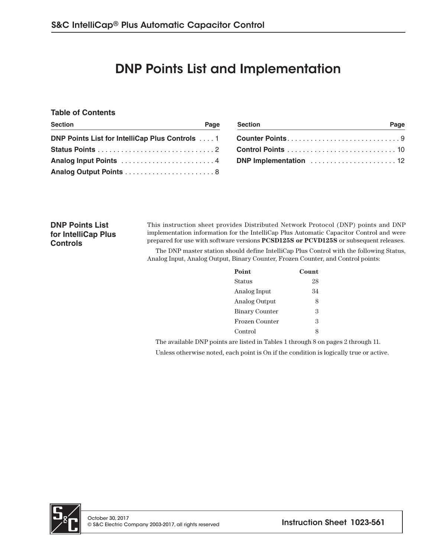# DNP Points List and Implementation

#### **Table of Contents**

| <b>Section</b> | Page | <b>Section</b> | Page |
|----------------|------|----------------|------|
|                |      |                |      |
|                |      |                |      |
|                |      |                |      |
|                |      |                |      |

| <b>Section</b>  | Page |
|-----------------|------|
| Counter Points9 |      |
|                 |      |
|                 |      |

**DNP Points List for IntelliCap Plus Controls**

This instruction sheet provides Distributed Network Protocol (DNP) points and DNP implementation information for the IntelliCap Plus Automatic Capacitor Control and were prepared for use with software versions **PCSD125S or PCVD125S** or subsequent releases.

The DNP master station should define IntelliCap Plus Control with the following Status, Analog Input, Analog Output, Binary Counter, Frozen Counter, and Control points:

| Point                 | Count |
|-----------------------|-------|
| Status                | 28    |
| Analog Input          | 34    |
| Analog Output         | 8     |
| <b>Binary Counter</b> | З     |
| Frozen Counter        | З     |
| Control               |       |

The available DNP points are listed in Tables 1 through 8 on pages 2 through 11.

Unless otherwise noted, each point is On if the condition is logically true or active.

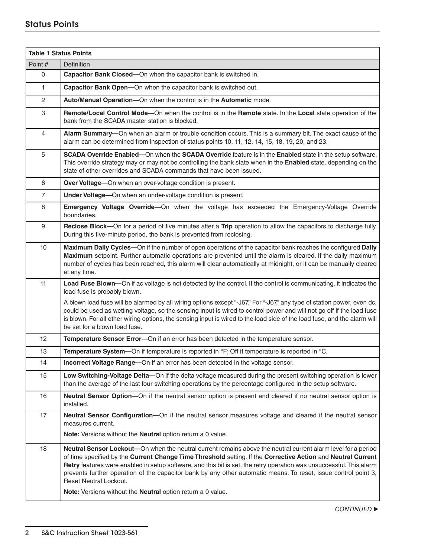# Status Points

| <b>Table 1 Status Points</b> |                                                                                                                                                                                                                                                                                                                                                                                                                                                                                                    |  |
|------------------------------|----------------------------------------------------------------------------------------------------------------------------------------------------------------------------------------------------------------------------------------------------------------------------------------------------------------------------------------------------------------------------------------------------------------------------------------------------------------------------------------------------|--|
| Point#                       | <b>Definition</b>                                                                                                                                                                                                                                                                                                                                                                                                                                                                                  |  |
| 0                            | Capacitor Bank Closed-On when the capacitor bank is switched in.                                                                                                                                                                                                                                                                                                                                                                                                                                   |  |
| 1.                           | Capacitor Bank Open-On when the capacitor bank is switched out.                                                                                                                                                                                                                                                                                                                                                                                                                                    |  |
| $\overline{2}$               | Auto/Manual Operation-On when the control is in the Automatic mode.                                                                                                                                                                                                                                                                                                                                                                                                                                |  |
| 3                            | Remote/Local Control Mode-On when the control is in the Remote state. In the Local state operation of the<br>bank from the SCADA master station is blocked.                                                                                                                                                                                                                                                                                                                                        |  |
| 4                            | Alarm Summary-On when an alarm or trouble condition occurs. This is a summary bit. The exact cause of the<br>alarm can be determined from inspection of status points 10, 11, 12, 14, 15, 18, 19, 20, and 23.                                                                                                                                                                                                                                                                                      |  |
| 5                            | SCADA Override Enabled-On when the SCADA Override feature is in the Enabled state in the setup software.<br>This override strategy may or may not be controlling the bank state when in the Enabled state, depending on the<br>state of other overrides and SCADA commands that have been issued.                                                                                                                                                                                                  |  |
| 6                            | Over Voltage-On when an over-voltage condition is present.                                                                                                                                                                                                                                                                                                                                                                                                                                         |  |
| $\overline{7}$               | Under Voltage-On when an under-voltage condition is present.                                                                                                                                                                                                                                                                                                                                                                                                                                       |  |
| 8                            | Emergency Voltage Override-On when the voltage has exceeded the Emergency-Voltage Override<br>boundaries.                                                                                                                                                                                                                                                                                                                                                                                          |  |
| 9                            | Reclose Block—On for a period of five minutes after a Trip operation to allow the capacitors to discharge fully.<br>During this five-minute period, the bank is prevented from reclosing.                                                                                                                                                                                                                                                                                                          |  |
| 10                           | Maximum Daily Cycles-On if the number of open operations of the capacitor bank reaches the configured Daily<br>Maximum setpoint. Further automatic operations are prevented until the alarm is cleared. If the daily maximum<br>number of cycles has been reached, this alarm will clear automatically at midnight, or it can be manually cleared<br>at any time.                                                                                                                                  |  |
| 11                           | Load Fuse Blown-On if ac voltage is not detected by the control. If the control is communicating, it indicates the<br>load fuse is probably blown.                                                                                                                                                                                                                                                                                                                                                 |  |
|                              | A blown load fuse will be alarmed by all wiring options except "-J67." For "-J67," any type of station power, even dc,<br>could be used as wetting voltage, so the sensing input is wired to control power and will not go off if the load fuse<br>is blown. For all other wiring options, the sensing input is wired to the load side of the load fuse, and the alarm will<br>be set for a blown load fuse.                                                                                       |  |
| 12                           | Temperature Sensor Error-On if an error has been detected in the temperature sensor.                                                                                                                                                                                                                                                                                                                                                                                                               |  |
| 13                           | Temperature System-On if temperature is reported in °F; Off if temperature is reported in °C.                                                                                                                                                                                                                                                                                                                                                                                                      |  |
| 14                           | Incorrect Voltage Range-On if an error has been detected in the voltage sensor.                                                                                                                                                                                                                                                                                                                                                                                                                    |  |
| 15                           | Low Switching-Voltage Delta-On if the delta voltage measured during the present switching operation is lower<br>than the average of the last four switching operations by the percentage configured in the setup software.                                                                                                                                                                                                                                                                         |  |
| 16                           | Neutral Sensor Option-On if the neutral sensor option is present and cleared if no neutral sensor option is<br>installed.                                                                                                                                                                                                                                                                                                                                                                          |  |
| 17                           | Neutral Sensor Configuration-On if the neutral sensor measures voltage and cleared if the neutral sensor<br>measures current.                                                                                                                                                                                                                                                                                                                                                                      |  |
|                              | Note: Versions without the Neutral option return a 0 value.                                                                                                                                                                                                                                                                                                                                                                                                                                        |  |
| 18                           | Neutral Sensor Lockout-On when the neutral current remains above the neutral current alarm level for a period<br>of time specified by the Current Change Time Threshold setting. If the Corrective Action and Neutral Current<br>Retry features were enabled in setup software, and this bit is set, the retry operation was unsuccessful. This alarm<br>prevents further operation of the capacitor bank by any other automatic means. To reset, issue control point 3,<br>Reset Neutral Lockout. |  |
|                              | Note: Versions without the Neutral option return a 0 value.                                                                                                                                                                                                                                                                                                                                                                                                                                        |  |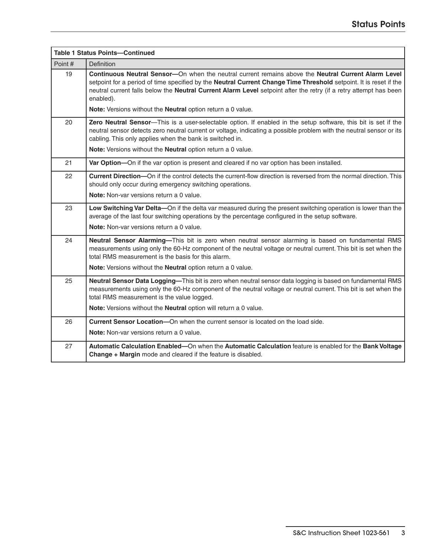| <b>Table 1 Status Points-Continued</b> |                                                                                                                                                                                                                                                                                                                                                                                                                           |  |
|----------------------------------------|---------------------------------------------------------------------------------------------------------------------------------------------------------------------------------------------------------------------------------------------------------------------------------------------------------------------------------------------------------------------------------------------------------------------------|--|
| Point#                                 | <b>Definition</b>                                                                                                                                                                                                                                                                                                                                                                                                         |  |
| 19                                     | Continuous Neutral Sensor-On when the neutral current remains above the Neutral Current Alarm Level<br>setpoint for a period of time specified by the Neutral Current Change Time Threshold setpoint. It is reset if the<br>neutral current falls below the Neutral Current Alarm Level setpoint after the retry (if a retry attempt has been<br>enabled).<br>Note: Versions without the Neutral option return a 0 value. |  |
| 20                                     | Zero Neutral Sensor-This is a user-selectable option. If enabled in the setup software, this bit is set if the<br>neutral sensor detects zero neutral current or voltage, indicating a possible problem with the neutral sensor or its<br>cabling. This only applies when the bank is switched in.<br>Note: Versions without the Neutral option return a 0 value.                                                         |  |
| 21                                     | Var Option-On if the var option is present and cleared if no var option has been installed.                                                                                                                                                                                                                                                                                                                               |  |
| 22                                     | Current Direction-On if the control detects the current-flow direction is reversed from the normal direction. This<br>should only occur during emergency switching operations.<br>Note: Non-var versions return a 0 value.                                                                                                                                                                                                |  |
| 23                                     | Low Switching Var Delta-On if the delta var measured during the present switching operation is lower than the<br>average of the last four switching operations by the percentage configured in the setup software.<br>Note: Non-var versions return a 0 value.                                                                                                                                                            |  |
| 24                                     | Neutral Sensor Alarming-This bit is zero when neutral sensor alarming is based on fundamental RMS<br>measurements using only the 60-Hz component of the neutral voltage or neutral current. This bit is set when the<br>total RMS measurement is the basis for this alarm.<br><b>Note:</b> Versions without the <b>Neutral</b> option return a 0 value.                                                                   |  |
| 25                                     | Neutral Sensor Data Logging-This bit is zero when neutral sensor data logging is based on fundamental RMS<br>measurements using only the 60-Hz component of the neutral voltage or neutral current. This bit is set when the<br>total RMS measurement is the value logged.<br>Note: Versions without the Neutral option will return a 0 value.                                                                            |  |
| 26                                     | Current Sensor Location-On when the current sensor is located on the load side.                                                                                                                                                                                                                                                                                                                                           |  |
|                                        | <b>Note:</b> Non-var versions return a 0 value.                                                                                                                                                                                                                                                                                                                                                                           |  |
| 27                                     | Automatic Calculation Enabled-On when the Automatic Calculation feature is enabled for the Bank Voltage<br>Change + Margin mode and cleared if the feature is disabled.                                                                                                                                                                                                                                                   |  |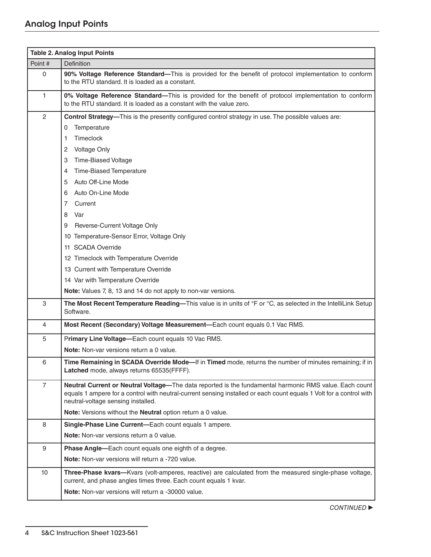|                | <b>Table 2. Analog Input Points</b>                                                                                                                                                                                                                                 |
|----------------|---------------------------------------------------------------------------------------------------------------------------------------------------------------------------------------------------------------------------------------------------------------------|
| Point #        | <b>Definition</b>                                                                                                                                                                                                                                                   |
| $\mathbf 0$    | 90% Voltage Reference Standard-This is provided for the benefit of protocol implementation to conform<br>to the RTU standard. It is loaded as a constant.                                                                                                           |
| $\mathbf{1}$   | 0% Voltage Reference Standard-This is provided for the benefit of protocol implementation to conform<br>to the RTU standard. It is loaded as a constant with the value zero.                                                                                        |
| $\mathbf{2}$   | Control Strategy—This is the presently configured control strategy in use. The possible values are:                                                                                                                                                                 |
|                | Temperature<br>0                                                                                                                                                                                                                                                    |
|                | <b>Timeclock</b><br>1                                                                                                                                                                                                                                               |
|                | <b>Voltage Only</b><br>2                                                                                                                                                                                                                                            |
|                | <b>Time-Biased Voltage</b><br>3                                                                                                                                                                                                                                     |
|                | Time-Biased Temperature<br>4                                                                                                                                                                                                                                        |
|                | Auto Off-Line Mode<br>5                                                                                                                                                                                                                                             |
|                | Auto On-Line Mode<br>6                                                                                                                                                                                                                                              |
|                | 7<br>Current                                                                                                                                                                                                                                                        |
|                | Var<br>8                                                                                                                                                                                                                                                            |
|                | Reverse-Current Voltage Only<br>9                                                                                                                                                                                                                                   |
|                | 10 Temperature-Sensor Error, Voltage Only                                                                                                                                                                                                                           |
|                | 11 SCADA Override                                                                                                                                                                                                                                                   |
|                | 12 Timeclock with Temperature Override                                                                                                                                                                                                                              |
|                | 13 Current with Temperature Override                                                                                                                                                                                                                                |
|                | 14 Var with Temperature Override                                                                                                                                                                                                                                    |
|                | Note: Values 7, 8, 13 and 14 do not apply to non-var versions.                                                                                                                                                                                                      |
| 3              | The Most Recent Temperature Reading-This value is in units of °F or °C, as selected in the IntelliLink Setup<br>Software.                                                                                                                                           |
| $\overline{4}$ | Most Recent (Secondary) Voltage Measurement-Each count equals 0.1 Vac RMS.                                                                                                                                                                                          |
| 5              | Primary Line Voltage-Each count equals 10 Vac RMS.                                                                                                                                                                                                                  |
|                | Note: Non-var versions return a 0 value.                                                                                                                                                                                                                            |
| 6              | Time Remaining in SCADA Override Mode-If in Timed mode, returns the number of minutes remaining; if in<br>Latched mode, always returns 65535(FFFF).                                                                                                                 |
| $\overline{7}$ | Neutral Current or Neutral Voltage-The data reported is the fundamental harmonic RMS value. Each count<br>equals 1 ampere for a control with neutral-current sensing installed or each count equals 1 Volt for a control with<br>neutral-voltage sensing installed. |
|                | Note: Versions without the Neutral option return a 0 value.                                                                                                                                                                                                         |
| 8              | Single-Phase Line Current-Each count equals 1 ampere.                                                                                                                                                                                                               |
|                | Note: Non-var versions return a 0 value.                                                                                                                                                                                                                            |
| 9              | Phase Angle-Each count equals one eighth of a degree.                                                                                                                                                                                                               |
|                | Note: Non-var versions will return a -720 value.                                                                                                                                                                                                                    |
| 10             | Three-Phase kvars-Kvars (volt-amperes, reactive) are calculated from the measured single-phase voltage,<br>current, and phase angles times three. Each count equals 1 kvar.                                                                                         |
|                | Note: Non-var versions will return a -30000 value.                                                                                                                                                                                                                  |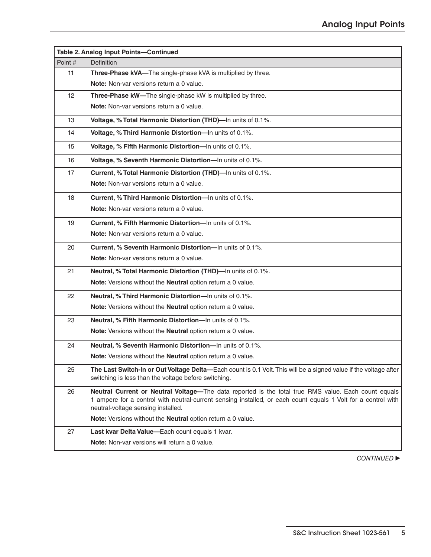| Table 2. Analog Input Points-Continued |                                                                                                                                                                                                                                                            |  |
|----------------------------------------|------------------------------------------------------------------------------------------------------------------------------------------------------------------------------------------------------------------------------------------------------------|--|
| Point #                                | <b>Definition</b>                                                                                                                                                                                                                                          |  |
| 11                                     | Three-Phase kVA-The single-phase kVA is multiplied by three.                                                                                                                                                                                               |  |
|                                        | Note: Non-var versions return a 0 value.                                                                                                                                                                                                                   |  |
| 12 <sup>2</sup>                        | Three-Phase kW-The single-phase kW is multiplied by three.                                                                                                                                                                                                 |  |
|                                        | Note: Non-var versions return a 0 value.                                                                                                                                                                                                                   |  |
| 13                                     | Voltage, % Total Harmonic Distortion (THD)-In units of 0.1%.                                                                                                                                                                                               |  |
| 14                                     | Voltage, % Third Harmonic Distortion-In units of 0.1%.                                                                                                                                                                                                     |  |
| 15                                     | Voltage, % Fifth Harmonic Distortion-In units of 0.1%.                                                                                                                                                                                                     |  |
| 16                                     | Voltage, % Seventh Harmonic Distortion-In units of 0.1%.                                                                                                                                                                                                   |  |
| 17                                     | Current, % Total Harmonic Distortion (THD)-In units of 0.1%.                                                                                                                                                                                               |  |
|                                        | Note: Non-var versions return a 0 value.                                                                                                                                                                                                                   |  |
| 18                                     | Current, % Third Harmonic Distortion-In units of 0.1%.                                                                                                                                                                                                     |  |
|                                        | Note: Non-var versions return a 0 value.                                                                                                                                                                                                                   |  |
| 19                                     | Current, % Fifth Harmonic Distortion-In units of 0.1%.                                                                                                                                                                                                     |  |
|                                        | Note: Non-var versions return a 0 value.                                                                                                                                                                                                                   |  |
| 20                                     | Current, % Seventh Harmonic Distortion-In units of 0.1%.                                                                                                                                                                                                   |  |
|                                        | Note: Non-var versions return a 0 value.                                                                                                                                                                                                                   |  |
| 21                                     | Neutral, % Total Harmonic Distortion (THD)-In units of 0.1%.                                                                                                                                                                                               |  |
|                                        | Note: Versions without the Neutral option return a 0 value.                                                                                                                                                                                                |  |
| 22                                     | Neutral, % Third Harmonic Distortion-In units of 0.1%.                                                                                                                                                                                                     |  |
|                                        | Note: Versions without the Neutral option return a 0 value.                                                                                                                                                                                                |  |
| 23                                     | Neutral, % Fifth Harmonic Distortion-In units of 0.1%.                                                                                                                                                                                                     |  |
|                                        | Note: Versions without the Neutral option return a 0 value.                                                                                                                                                                                                |  |
| 24                                     | Neutral, % Seventh Harmonic Distortion-In units of 0.1%.                                                                                                                                                                                                   |  |
|                                        | Note: Versions without the Neutral option return a 0 value.                                                                                                                                                                                                |  |
| 25                                     | The Last Switch-In or Out Voltage Delta-Each count is 0.1 Volt. This will be a signed value if the voltage after<br>switching is less than the voltage before switching.                                                                                   |  |
| 26                                     | Neutral Current or Neutral Voltage-The data reported is the total true RMS value. Each count equals<br>1 ampere for a control with neutral-current sensing installed, or each count equals 1 Volt for a control with<br>neutral-voltage sensing installed. |  |
|                                        | Note: Versions without the Neutral option return a 0 value.                                                                                                                                                                                                |  |
| 27                                     | Last kvar Delta Value-Each count equals 1 kvar.                                                                                                                                                                                                            |  |
|                                        | Note: Non-var versions will return a 0 value.                                                                                                                                                                                                              |  |

**CONTINUED**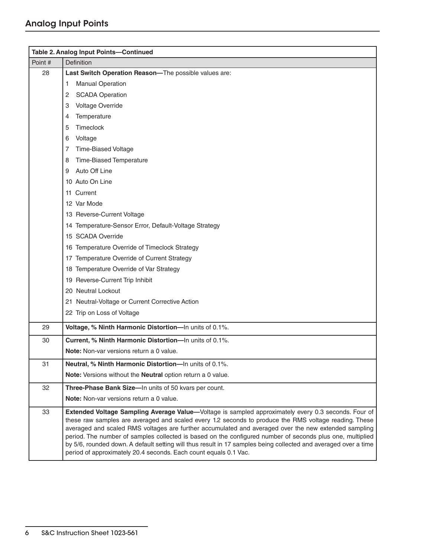|         | Table 2. Analog Input Points-Continued                                                                                                                                                                                                                                                                                                                                                                                                                                                                                                                                                                                   |
|---------|--------------------------------------------------------------------------------------------------------------------------------------------------------------------------------------------------------------------------------------------------------------------------------------------------------------------------------------------------------------------------------------------------------------------------------------------------------------------------------------------------------------------------------------------------------------------------------------------------------------------------|
| Point # | <b>Definition</b>                                                                                                                                                                                                                                                                                                                                                                                                                                                                                                                                                                                                        |
| 28      | Last Switch Operation Reason-The possible values are:                                                                                                                                                                                                                                                                                                                                                                                                                                                                                                                                                                    |
|         | <b>Manual Operation</b><br>1                                                                                                                                                                                                                                                                                                                                                                                                                                                                                                                                                                                             |
|         | <b>SCADA Operation</b><br>2                                                                                                                                                                                                                                                                                                                                                                                                                                                                                                                                                                                              |
|         | Voltage Override<br>3                                                                                                                                                                                                                                                                                                                                                                                                                                                                                                                                                                                                    |
|         | Temperature<br>4                                                                                                                                                                                                                                                                                                                                                                                                                                                                                                                                                                                                         |
|         | Timeclock<br>5                                                                                                                                                                                                                                                                                                                                                                                                                                                                                                                                                                                                           |
|         | Voltage<br>6                                                                                                                                                                                                                                                                                                                                                                                                                                                                                                                                                                                                             |
|         | <b>Time-Biased Voltage</b><br>7                                                                                                                                                                                                                                                                                                                                                                                                                                                                                                                                                                                          |
|         | Time-Biased Temperature<br>8                                                                                                                                                                                                                                                                                                                                                                                                                                                                                                                                                                                             |
|         | Auto Off Line<br>9                                                                                                                                                                                                                                                                                                                                                                                                                                                                                                                                                                                                       |
|         | 10 Auto On Line                                                                                                                                                                                                                                                                                                                                                                                                                                                                                                                                                                                                          |
|         | 11 Current                                                                                                                                                                                                                                                                                                                                                                                                                                                                                                                                                                                                               |
|         | 12 Var Mode                                                                                                                                                                                                                                                                                                                                                                                                                                                                                                                                                                                                              |
|         | 13 Reverse-Current Voltage                                                                                                                                                                                                                                                                                                                                                                                                                                                                                                                                                                                               |
|         | 14 Temperature-Sensor Error, Default-Voltage Strategy                                                                                                                                                                                                                                                                                                                                                                                                                                                                                                                                                                    |
|         | 15 SCADA Override                                                                                                                                                                                                                                                                                                                                                                                                                                                                                                                                                                                                        |
|         | 16 Temperature Override of Timeclock Strategy                                                                                                                                                                                                                                                                                                                                                                                                                                                                                                                                                                            |
|         | 17 Temperature Override of Current Strategy                                                                                                                                                                                                                                                                                                                                                                                                                                                                                                                                                                              |
|         | 18 Temperature Override of Var Strategy                                                                                                                                                                                                                                                                                                                                                                                                                                                                                                                                                                                  |
|         | 19 Reverse-Current Trip Inhibit                                                                                                                                                                                                                                                                                                                                                                                                                                                                                                                                                                                          |
|         | 20 Neutral Lockout                                                                                                                                                                                                                                                                                                                                                                                                                                                                                                                                                                                                       |
|         | 21 Neutral-Voltage or Current Corrective Action                                                                                                                                                                                                                                                                                                                                                                                                                                                                                                                                                                          |
|         | 22 Trip on Loss of Voltage                                                                                                                                                                                                                                                                                                                                                                                                                                                                                                                                                                                               |
| 29      | Voltage, % Ninth Harmonic Distortion-In units of 0.1%.                                                                                                                                                                                                                                                                                                                                                                                                                                                                                                                                                                   |
| 30      | Current, % Ninth Harmonic Distortion-In units of 0.1%.                                                                                                                                                                                                                                                                                                                                                                                                                                                                                                                                                                   |
|         | Note: Non-var versions return a 0 value.                                                                                                                                                                                                                                                                                                                                                                                                                                                                                                                                                                                 |
| 31      | Neutral, % Ninth Harmonic Distortion-In units of 0.1%.                                                                                                                                                                                                                                                                                                                                                                                                                                                                                                                                                                   |
|         | Note: Versions without the Neutral option return a 0 value.                                                                                                                                                                                                                                                                                                                                                                                                                                                                                                                                                              |
| 32      | Three-Phase Bank Size-In units of 50 kvars per count.                                                                                                                                                                                                                                                                                                                                                                                                                                                                                                                                                                    |
|         | Note: Non-var versions return a 0 value.                                                                                                                                                                                                                                                                                                                                                                                                                                                                                                                                                                                 |
| 33      | Extended Voltage Sampling Average Value-Voltage is sampled approximately every 0.3 seconds. Four of<br>these raw samples are averaged and scaled every 1.2 seconds to produce the RMS voltage reading. These<br>averaged and scaled RMS voltages are further accumulated and averaged over the new extended sampling<br>period. The number of samples collected is based on the configured number of seconds plus one, multiplied<br>by 5/6, rounded down. A default setting will thus result in 17 samples being collected and averaged over a time<br>period of approximately 20.4 seconds. Each count equals 0.1 Vac. |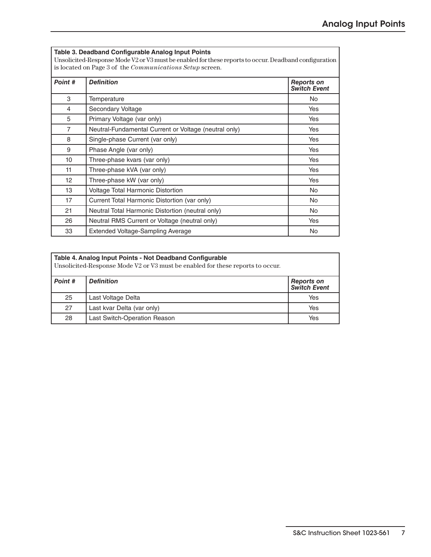| Table 3. Deadband Configurable Analog Input Points<br>Unsolicited-Response Mode V2 or V3 must be enabled for these reports to occur. Deadband configuration<br>is located on Page 3 of the <i>Communications Setup</i> screen. |                                                       |                                          |
|--------------------------------------------------------------------------------------------------------------------------------------------------------------------------------------------------------------------------------|-------------------------------------------------------|------------------------------------------|
| Point #                                                                                                                                                                                                                        | <b>Definition</b>                                     | <b>Reports on</b><br><b>Switch Event</b> |
| 3                                                                                                                                                                                                                              | Temperature                                           | No.                                      |
| 4                                                                                                                                                                                                                              | Secondary Voltage                                     | Yes                                      |
| 5                                                                                                                                                                                                                              | Primary Voltage (var only)                            | Yes                                      |
| $\overline{7}$                                                                                                                                                                                                                 | Neutral-Fundamental Current or Voltage (neutral only) | Yes                                      |
| 8                                                                                                                                                                                                                              | Single-phase Current (var only)                       | Yes                                      |
| 9                                                                                                                                                                                                                              | Phase Angle (var only)                                | Yes                                      |
| 10 <sup>1</sup>                                                                                                                                                                                                                | Three-phase kvars (var only)                          | Yes                                      |
| 11                                                                                                                                                                                                                             | Three-phase kVA (var only)                            | Yes                                      |
| 12                                                                                                                                                                                                                             | Three-phase kW (var only)                             | Yes                                      |
| 13                                                                                                                                                                                                                             | <b>Voltage Total Harmonic Distortion</b>              | <b>No</b>                                |
| 17                                                                                                                                                                                                                             | Current Total Harmonic Distortion (var only)          | <b>No</b>                                |
| 21                                                                                                                                                                                                                             | Neutral Total Harmonic Distortion (neutral only)      | No.                                      |
| 26                                                                                                                                                                                                                             | Neutral RMS Current or Voltage (neutral only)         | Yes                                      |
| 33                                                                                                                                                                                                                             | Extended Voltage-Sampling Average                     | No                                       |

| Table 4. Analog Input Points - Not Deadband Configurable<br>Unsolicited-Response Mode V2 or V3 must be enabled for these reports to occur. |                                     |                                    |
|--------------------------------------------------------------------------------------------------------------------------------------------|-------------------------------------|------------------------------------|
| Point #                                                                                                                                    | <b>Definition</b>                   | <b>Reports on<br/>Switch Event</b> |
| 25                                                                                                                                         | Last Voltage Delta                  | Yes                                |
| 27                                                                                                                                         | Last kvar Delta (var only)          | Yes                                |
| 28                                                                                                                                         | <b>Last Switch-Operation Reason</b> | Yes                                |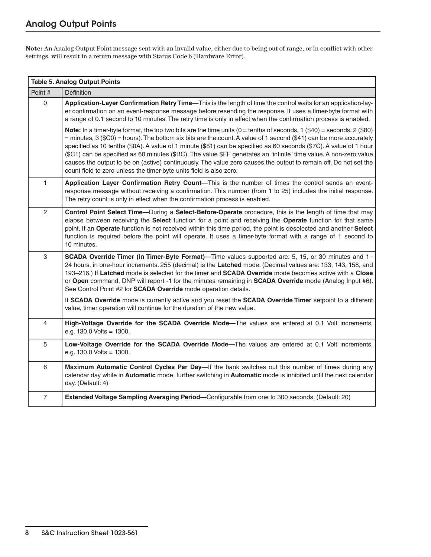**Note:** An Analog Output Point message sent with an invalid value, either due to being out of range, or in conflict with other settings, will result in a return message with Status Code 6 (Hardware Error).

| <b>Table 5. Analog Output Points</b> |                                                                                                                                                                                                                                                                                                                                                                                                                                                                                                                                                                                                                                                                                             |  |
|--------------------------------------|---------------------------------------------------------------------------------------------------------------------------------------------------------------------------------------------------------------------------------------------------------------------------------------------------------------------------------------------------------------------------------------------------------------------------------------------------------------------------------------------------------------------------------------------------------------------------------------------------------------------------------------------------------------------------------------------|--|
| Point #                              | Definition                                                                                                                                                                                                                                                                                                                                                                                                                                                                                                                                                                                                                                                                                  |  |
| $\Omega$                             | Application-Layer Confirmation Retry Time-This is the length of time the control waits for an application-lay-<br>er confirmation on an event-response message before resending the response. It uses a timer-byte format with<br>a range of 0.1 second to 10 minutes. The retry time is only in effect when the confirmation process is enabled.                                                                                                                                                                                                                                                                                                                                           |  |
|                                      | Note: In a timer-byte format, the top two bits are the time units ( $0 =$ tenths of seconds, $1$ (\$40) = seconds, $2$ (\$80)<br>$=$ minutes, 3 (\$C0) = hours). The bottom six bits are the count. A value of 1 second (\$41) can be more accurately<br>specified as 10 tenths (\$0A). A value of 1 minute (\$81) can be specified as 60 seconds (\$7C). A value of 1 hour<br>(\$C1) can be specified as 60 minutes (\$BC). The value \$FF generates an "infinite" time value. A non-zero value<br>causes the output to be on (active) continuously. The value zero causes the output to remain off. Do not set the<br>count field to zero unless the timer-byte units field is also zero. |  |
| 1                                    | Application Layer Confirmation Retry Count-This is the number of times the control sends an event-<br>response message without receiving a confirmation. This number (from 1 to 25) includes the initial response.<br>The retry count is only in effect when the confirmation process is enabled.                                                                                                                                                                                                                                                                                                                                                                                           |  |
| $\overline{c}$                       | Control Point Select Time-During a Select-Before-Operate procedure, this is the length of time that may<br>elapse between receiving the Select function for a point and receiving the Operate function for that same<br>point. If an Operate function is not received within this time period, the point is deselected and another Select<br>function is required before the point will operate. It uses a timer-byte format with a range of 1 second to<br>10 minutes.                                                                                                                                                                                                                     |  |
| 3                                    | SCADA Override Timer (In Timer-Byte Format)—Time values supported are: 5, 15, or 30 minutes and 1-<br>24 hours, in one-hour increments. 255 (decimal) is the Latched mode. (Decimal values are: 133, 143, 158, and<br>193-216.) If Latched mode is selected for the timer and SCADA Override mode becomes active with a Close<br>or Open command, DNP will report -1 for the minutes remaining in SCADA Override mode (Analog Input #6).<br>See Control Point #2 for SCADA Override mode operation details.                                                                                                                                                                                 |  |
|                                      | If SCADA Override mode is currently active and you reset the SCADA Override Timer setpoint to a different<br>value, timer operation will continue for the duration of the new value.                                                                                                                                                                                                                                                                                                                                                                                                                                                                                                        |  |
| $\overline{4}$                       | High-Voltage Override for the SCADA Override Mode-The values are entered at 0.1 Volt increments,<br>e.g. $130.0$ Volts = $1300$ .                                                                                                                                                                                                                                                                                                                                                                                                                                                                                                                                                           |  |
| 5                                    | Low-Voltage Override for the SCADA Override Mode-The values are entered at 0.1 Volt increments,<br>e.g. $130.0$ Volts = $1300$ .                                                                                                                                                                                                                                                                                                                                                                                                                                                                                                                                                            |  |
| 6                                    | Maximum Automatic Control Cycles Per Day—If the bank switches out this number of times during any<br>calendar day while in Automatic mode, further switching in Automatic mode is inhibited until the next calendar<br>day. (Default: 4)                                                                                                                                                                                                                                                                                                                                                                                                                                                    |  |
| $\overline{7}$                       | Extended Voltage Sampling Averaging Period-Configurable from one to 300 seconds. (Default: 20)                                                                                                                                                                                                                                                                                                                                                                                                                                                                                                                                                                                              |  |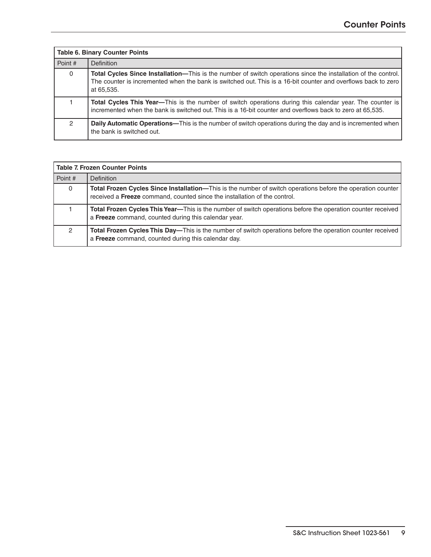| <b>Table 6. Binary Counter Points</b> |                                                                                                                                                                                                                                               |  |
|---------------------------------------|-----------------------------------------------------------------------------------------------------------------------------------------------------------------------------------------------------------------------------------------------|--|
| Point #                               | <b>Definition</b>                                                                                                                                                                                                                             |  |
| $\mathbf{0}$                          | Total Cycles Since Installation—This is the number of switch operations since the installation of the control.<br>The counter is incremented when the bank is switched out. This is a 16-bit counter and overflows back to zero<br>at 65.535. |  |
|                                       | Total Cycles This Year—This is the number of switch operations during this calendar year. The counter is<br>incremented when the bank is switched out. This is a 16-bit counter and overflows back to zero at 65,535.                         |  |
| $\mathcal{P}$                         | Daily Automatic Operations—This is the number of switch operations during the day and is incremented when<br>the bank is switched out.                                                                                                        |  |

| l Table 7. Frozen Counter Points |                                                                                                                                                                                                 |  |  |  |  |
|----------------------------------|-------------------------------------------------------------------------------------------------------------------------------------------------------------------------------------------------|--|--|--|--|
| Point #                          | <b>Definition</b>                                                                                                                                                                               |  |  |  |  |
| $\mathbf{0}$                     | <b>Total Frozen Cycles Since Installation—This is the number of switch operations before the operation counter</b><br>received a Freeze command, counted since the installation of the control. |  |  |  |  |
|                                  | <b>Total Frozen Cycles This Year—This is the number of switch operations before the operation counter received</b><br>a Freeze command, counted during this calendar year.                      |  |  |  |  |
| 2                                | <b>Total Frozen Cycles This Day—This is the number of switch operations before the operation counter received</b><br>a Freeze command, counted during this calendar day.                        |  |  |  |  |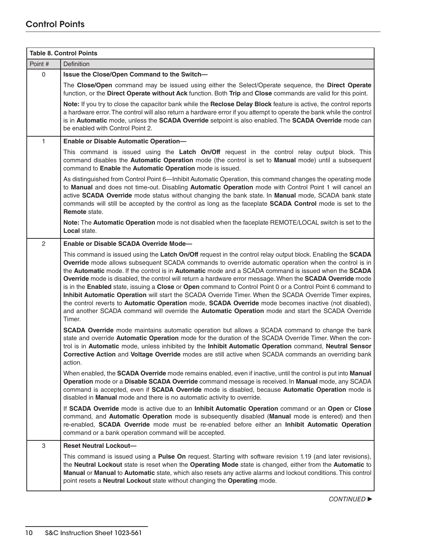|              | <b>Table 8. Control Points</b>                                                                                                                                                                                                                                                                                                                                                                                                                                                                                                                                                                                                                                                                                                                                                                                                                                                              |  |  |  |  |
|--------------|---------------------------------------------------------------------------------------------------------------------------------------------------------------------------------------------------------------------------------------------------------------------------------------------------------------------------------------------------------------------------------------------------------------------------------------------------------------------------------------------------------------------------------------------------------------------------------------------------------------------------------------------------------------------------------------------------------------------------------------------------------------------------------------------------------------------------------------------------------------------------------------------|--|--|--|--|
| Point #      | <b>Definition</b>                                                                                                                                                                                                                                                                                                                                                                                                                                                                                                                                                                                                                                                                                                                                                                                                                                                                           |  |  |  |  |
| $\mathbf 0$  | Issue the Close/Open Command to the Switch-                                                                                                                                                                                                                                                                                                                                                                                                                                                                                                                                                                                                                                                                                                                                                                                                                                                 |  |  |  |  |
|              | The Close/Open command may be issued using either the Select/Operate sequence, the Direct Operate<br>function, or the Direct Operate without Ack function. Both Trip and Close commands are valid for this point.                                                                                                                                                                                                                                                                                                                                                                                                                                                                                                                                                                                                                                                                           |  |  |  |  |
|              | Note: If you try to close the capacitor bank while the Reclose Delay Block feature is active, the control reports<br>a hardware error. The control will also return a hardware error if you attempt to operate the bank while the control<br>is in Automatic mode, unless the SCADA Override setpoint is also enabled. The SCADA Override mode can<br>be enabled with Control Point 2.                                                                                                                                                                                                                                                                                                                                                                                                                                                                                                      |  |  |  |  |
| $\mathbf{1}$ | Enable or Disable Automatic Operation-                                                                                                                                                                                                                                                                                                                                                                                                                                                                                                                                                                                                                                                                                                                                                                                                                                                      |  |  |  |  |
|              | This command is issued using the Latch On/Off request in the control relay output block. This<br>command disables the Automatic Operation mode (the control is set to Manual mode) until a subsequent<br>command to Enable the Automatic Operation mode is issued.                                                                                                                                                                                                                                                                                                                                                                                                                                                                                                                                                                                                                          |  |  |  |  |
|              | As distinguished from Control Point 6—Inhibit Automatic Operation, this command changes the operating mode<br>to Manual and does not time-out. Disabling Automatic Operation mode with Control Point 1 will cancel an<br>active SCADA Override mode status without changing the bank state. In Manual mode, SCADA bank state<br>commands will still be accepted by the control as long as the faceplate SCADA Control mode is set to the<br>Remote state.                                                                                                                                                                                                                                                                                                                                                                                                                                   |  |  |  |  |
|              | Note: The Automatic Operation mode is not disabled when the faceplate REMOTE/LOCAL switch is set to the<br>Local state.                                                                                                                                                                                                                                                                                                                                                                                                                                                                                                                                                                                                                                                                                                                                                                     |  |  |  |  |
| $\mathbf{2}$ | Enable or Disable SCADA Override Mode-                                                                                                                                                                                                                                                                                                                                                                                                                                                                                                                                                                                                                                                                                                                                                                                                                                                      |  |  |  |  |
|              | This command is issued using the Latch On/Off request in the control relay output block. Enabling the SCADA<br>Override mode allows subsequent SCADA commands to override automatic operation when the control is in<br>the Automatic mode. If the control is in Automatic mode and a SCADA command is issued when the SCADA<br>Override mode is disabled, the control will return a hardware error message. When the SCADA Override mode<br>is in the Enabled state, issuing a Close or Open command to Control Point 0 or a Control Point 6 command to<br>Inhibit Automatic Operation will start the SCADA Override Timer. When the SCADA Override Timer expires,<br>the control reverts to Automatic Operation mode, SCADA Override mode becomes inactive (not disabled),<br>and another SCADA command will override the Automatic Operation mode and start the SCADA Override<br>Timer. |  |  |  |  |
|              | <b>SCADA Override</b> mode maintains automatic operation but allows a SCADA command to change the bank<br>state and override Automatic Operation mode for the duration of the SCADA Override Timer. When the con-<br>trol is in Automatic mode, unless inhibited by the Inhibit Automatic Operation command, Neutral Sensor<br>Corrective Action and Voltage Override modes are still active when SCADA commands an overriding bank<br>action.                                                                                                                                                                                                                                                                                                                                                                                                                                              |  |  |  |  |
|              | When enabled, the SCADA Override mode remains enabled, even if inactive, until the control is put into Manual<br>Operation mode or a Disable SCADA Override command message is received. In Manual mode, any SCADA<br>command is accepted, even if SCADA Override mode is disabled, because Automatic Operation mode is<br>disabled in Manual mode and there is no automatic activity to override.                                                                                                                                                                                                                                                                                                                                                                                                                                                                                          |  |  |  |  |
|              | If SCADA Override mode is active due to an Inhibit Automatic Operation command or an Open or Close<br>command, and Automatic Operation mode is subsequently disabled (Manual mode is entered) and then<br>re-enabled, SCADA Override mode must be re-enabled before either an Inhibit Automatic Operation<br>command or a bank operation command will be accepted.                                                                                                                                                                                                                                                                                                                                                                                                                                                                                                                          |  |  |  |  |
| 3            | <b>Reset Neutral Lockout-</b>                                                                                                                                                                                                                                                                                                                                                                                                                                                                                                                                                                                                                                                                                                                                                                                                                                                               |  |  |  |  |
|              | This command is issued using a Pulse On request. Starting with software revision 1.19 (and later revisions),<br>the Neutral Lockout state is reset when the Operating Mode state is changed, either from the Automatic to<br>Manual or Manual to Automatic state, which also resets any active alarms and lockout conditions. This control<br>point resets a Neutral Lockout state without changing the Operating mode.                                                                                                                                                                                                                                                                                                                                                                                                                                                                     |  |  |  |  |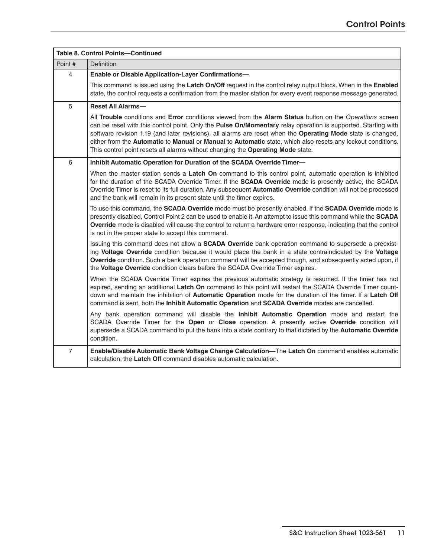|                | <b>Table 8. Control Points-Continued</b>                                                                                                                                                                                                                                                                                                                                                                                                                                                                                                    |  |  |  |  |  |
|----------------|---------------------------------------------------------------------------------------------------------------------------------------------------------------------------------------------------------------------------------------------------------------------------------------------------------------------------------------------------------------------------------------------------------------------------------------------------------------------------------------------------------------------------------------------|--|--|--|--|--|
| Point #        | Definition                                                                                                                                                                                                                                                                                                                                                                                                                                                                                                                                  |  |  |  |  |  |
| 4              | Enable or Disable Application-Layer Confirmations-                                                                                                                                                                                                                                                                                                                                                                                                                                                                                          |  |  |  |  |  |
|                | This command is issued using the Latch On/Off request in the control relay output block. When in the Enabled<br>state, the control requests a confirmation from the master station for every event response message generated.                                                                                                                                                                                                                                                                                                              |  |  |  |  |  |
| 5              | <b>Reset All Alarms-</b>                                                                                                                                                                                                                                                                                                                                                                                                                                                                                                                    |  |  |  |  |  |
|                | All Trouble conditions and Error conditions viewed from the Alarm Status button on the Operations screen<br>can be reset with this control point. Only the Pulse On/Momentary relay operation is supported. Starting with<br>software revision 1.19 (and later revisions), all alarms are reset when the Operating Mode state is changed,<br>either from the Automatic to Manual or Manual to Automatic state, which also resets any lockout conditions.<br>This control point resets all alarms without changing the Operating Mode state. |  |  |  |  |  |
| 6              | Inhibit Automatic Operation for Duration of the SCADA Override Timer-                                                                                                                                                                                                                                                                                                                                                                                                                                                                       |  |  |  |  |  |
|                | When the master station sends a Latch On command to this control point, automatic operation is inhibited<br>for the duration of the SCADA Override Timer. If the SCADA Override mode is presently active, the SCADA<br>Override Timer is reset to its full duration. Any subsequent <b>Automatic Override</b> condition will not be processed<br>and the bank will remain in its present state until the timer expires.                                                                                                                     |  |  |  |  |  |
|                | To use this command, the SCADA Override mode must be presently enabled. If the SCADA Override mode is<br>presently disabled, Control Point 2 can be used to enable it. An attempt to issue this command while the SCADA<br>Override mode is disabled will cause the control to return a hardware error response, indicating that the control<br>is not in the proper state to accept this command.                                                                                                                                          |  |  |  |  |  |
|                | Issuing this command does not allow a <b>SCADA Override</b> bank operation command to supersede a preexist-<br>ing Voltage Override condition because it would place the bank in a state contraindicated by the Voltage<br>Override condition. Such a bank operation command will be accepted though, and subsequently acted upon, if<br>the Voltage Override condition clears before the SCADA Override Timer expires.                                                                                                                     |  |  |  |  |  |
|                | When the SCADA Override Timer expires the previous automatic strategy is resumed. If the timer has not<br>expired, sending an additional Latch On command to this point will restart the SCADA Override Timer count-<br>down and maintain the inhibition of Automatic Operation mode for the duration of the timer. If a Latch Off<br>command is sent, both the Inhibit Automatic Operation and SCADA Override modes are cancelled.                                                                                                         |  |  |  |  |  |
|                | Any bank operation command will disable the Inhibit Automatic Operation mode and restart the<br>SCADA Override Timer for the Open or Close operation. A presently active Override condition will<br>supersede a SCADA command to put the bank into a state contrary to that dictated by the Automatic Override<br>condition.                                                                                                                                                                                                                |  |  |  |  |  |
| $\overline{7}$ | Enable/Disable Automatic Bank Voltage Change Calculation-The Latch On command enables automatic<br>calculation; the Latch Off command disables automatic calculation.                                                                                                                                                                                                                                                                                                                                                                       |  |  |  |  |  |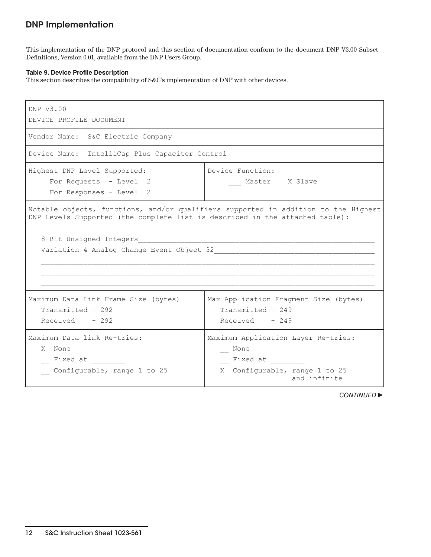This implementation of the DNP protocol and this section of documentation conform to the document DNP V3.00 Subset Definitions, Version 0.01, available from the DNP Users Group.

#### **Table 9. Device Profile Description**

This section describes the compatibility of S&C's implementation of DNP with other devices.

| DNP V3.00<br>DEVICE PROFILE DOCUMENT                                                                                                                                                          |                                                                                                            |  |  |  |  |  |
|-----------------------------------------------------------------------------------------------------------------------------------------------------------------------------------------------|------------------------------------------------------------------------------------------------------------|--|--|--|--|--|
| Vendor Name: S&C Electric Company                                                                                                                                                             |                                                                                                            |  |  |  |  |  |
| Device Name: IntelliCap Plus Capacitor Control                                                                                                                                                |                                                                                                            |  |  |  |  |  |
| Highest DNP Level Supported:<br>For Requests - Level 2<br>For Responses - Level 2                                                                                                             | Device Function:<br>Master X Slave                                                                         |  |  |  |  |  |
| Notable objects, functions, and/or qualifiers supported in addition to the Highest<br>DNP Levels Supported (the complete list is described in the attached table):<br>8-Bit Unsigned Integers |                                                                                                            |  |  |  |  |  |
| Maximum Data Link Frame Size (bytes)<br>Transmitted - 292<br>$Received - 292$                                                                                                                 | Max Application Fragment Size (bytes)<br>Transmitted - 249<br>$Received - 249$                             |  |  |  |  |  |
| Maximum Data link Re-tries:<br>X None<br>Fixed at<br>Configurable, range 1 to 25                                                                                                              | Maximum Application Layer Re-tries:<br>_ None<br>Fixed at<br>X Configurable, range 1 to 25<br>and infinite |  |  |  |  |  |

**CONTINUED ▶**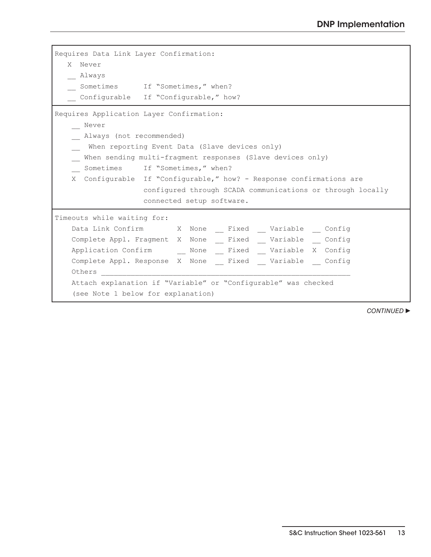| Requires Data Link Layer Confirmation:                              |  |  |  |  |
|---------------------------------------------------------------------|--|--|--|--|
| X Never                                                             |  |  |  |  |
| Always                                                              |  |  |  |  |
| Sometimes If "Sometimes," when?                                     |  |  |  |  |
| Configurable If "Configurable," how?                                |  |  |  |  |
| Requires Application Layer Confirmation:                            |  |  |  |  |
| Never                                                               |  |  |  |  |
| Always (not recommended)                                            |  |  |  |  |
| When reporting Event Data (Slave devices only)                      |  |  |  |  |
| When sending multi-fragment responses (Slave devices only)          |  |  |  |  |
| Sometimes If "Sometimes," when?                                     |  |  |  |  |
| X Configurable If "Configurable," how? - Response confirmations are |  |  |  |  |
| configured through SCADA communications or through locally          |  |  |  |  |
| connected setup software.                                           |  |  |  |  |
| Timeouts while waiting for:                                         |  |  |  |  |
| Data Link Confirm X None Fixed Variable Config                      |  |  |  |  |
| Complete Appl. Fragment X None _ Fixed _ Variable _ Config          |  |  |  |  |
| Application Confirm  None __ Fixed __ Variable X Config             |  |  |  |  |
| Complete Appl. Response X None Fixed Variable Config                |  |  |  |  |
| Others                                                              |  |  |  |  |
| Attach explanation if "Variable" or "Configurable" was checked      |  |  |  |  |
| (see Note 1 below for explanation)                                  |  |  |  |  |

**CONTINUED ▶**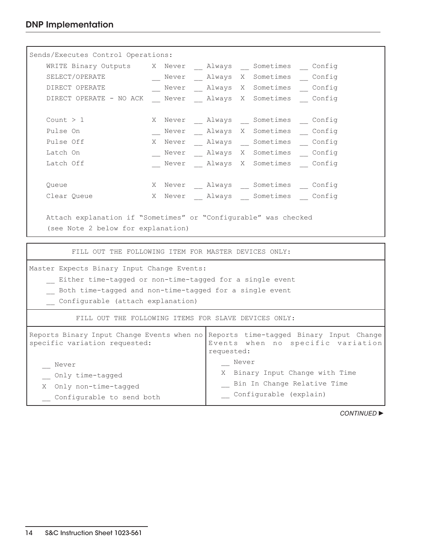| Sends/Executes Control Operations:                                                           |                                     |       |  |                                 |  |
|----------------------------------------------------------------------------------------------|-------------------------------------|-------|--|---------------------------------|--|
| WRITE Binary Outputs X Never Always Sometimes Config                                         |                                     |       |  |                                 |  |
| SELECT/OPERATE                                                                               | Never _ Always X Sometimes _ Config |       |  |                                 |  |
| DIRECT OPERATE                                                                               | Never _ Always X Sometimes _ Config |       |  |                                 |  |
| DIRECT OPERATE - NO ACK Never Always X Sometimes Config                                      |                                     |       |  |                                 |  |
|                                                                                              |                                     |       |  |                                 |  |
| Count $> 1$                                                                                  | X Never Always Sometimes Config     |       |  |                                 |  |
| Pulse On                                                                                     | Never Always X Sometimes Config     |       |  |                                 |  |
| Pulse Off                                                                                    | X Never Always Sometimes Config     |       |  |                                 |  |
| Latch On                                                                                     | Never _ Always X Sometimes _ Config |       |  |                                 |  |
| Latch Off                                                                                    | Never Always X Sometimes Config     |       |  |                                 |  |
|                                                                                              |                                     |       |  |                                 |  |
| Queue                                                                                        | X Never Always Sometimes Config     |       |  |                                 |  |
| Clear Queue                                                                                  | X Never Always Sometimes Config     |       |  |                                 |  |
|                                                                                              |                                     |       |  |                                 |  |
| Attach explanation if "Sometimes" or "Configurable" was checked                              |                                     |       |  |                                 |  |
| (see Note 2 below for explanation)                                                           |                                     |       |  |                                 |  |
|                                                                                              |                                     |       |  |                                 |  |
| FILL OUT THE FOLLOWING ITEM FOR MASTER DEVICES ONLY:                                         |                                     |       |  |                                 |  |
| Master Expects Binary Input Change Events:                                                   |                                     |       |  |                                 |  |
| Either time-tagged or non-time-tagged for a single event                                     |                                     |       |  |                                 |  |
|                                                                                              |                                     |       |  |                                 |  |
| Both time-tagged and non-time-tagged for a single event<br>Configurable (attach explanation) |                                     |       |  |                                 |  |
|                                                                                              |                                     |       |  |                                 |  |
| FILL OUT THE FOLLOWING ITEMS FOR SLAVE DEVICES ONLY:                                         |                                     |       |  |                                 |  |
| Reports Binary Input Change Events when no Reports time-tagged Binary Input Change           |                                     |       |  |                                 |  |
| specific variation requested:<br>Events when no specific variation                           |                                     |       |  |                                 |  |
| requested:                                                                                   |                                     |       |  |                                 |  |
| Never                                                                                        |                                     | Never |  |                                 |  |
| Only time-tagged                                                                             |                                     |       |  | X Binary Input Change with Time |  |

|  |  | Bin In Change Relative Time |  |
|--|--|-----------------------------|--|

\_\_ Configurable (explain)

**CONTINUED ▶** 

X Only non-time-tagged

\_\_ Configurable to send both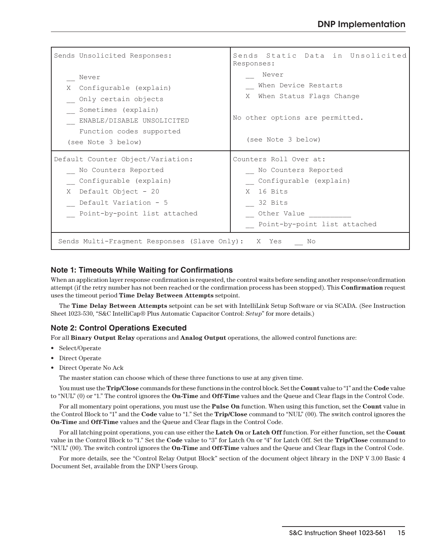| Sends Unsolicited Responses:                                                                                                                                             | Sends Static Data in Unsolicited<br>Responses:                                                                                                  |  |  |  |  |
|--------------------------------------------------------------------------------------------------------------------------------------------------------------------------|-------------------------------------------------------------------------------------------------------------------------------------------------|--|--|--|--|
| Never<br>Configurable (explain)<br>X<br>Only certain objects<br>Sometimes (explain)<br>ENABLE/DISABLE UNSOLICITED<br>Function codes supported<br>(see Note 3 below)      | Never<br>When Device Restarts<br>When Status Flags Change<br>X.<br>No other options are permitted.<br>(see Note 3 below)                        |  |  |  |  |
| Default Counter Object/Variation:<br>No Counters Reported<br>Configurable (explain)<br>Default Object - 20<br>X<br>Default Variation - 5<br>Point-by-point list attached | Counters Roll Over at:<br>No Counters Reported<br>Configurable (explain)<br>X 16 Bits<br>32 Bits<br>Other Value<br>Point-by-point list attached |  |  |  |  |
| Sends Multi-Fragment Responses (Slave Only): X Yes<br>No                                                                                                                 |                                                                                                                                                 |  |  |  |  |

#### **Note 1: Timeouts While Waiting for Confirmations**

When an application layer response confirmation is requested, the control waits before sending another response/confirmation attempt (if the retry number has not been reached or the confirmation process has been stopped). This **Confirmation** request uses the timeout period **Time Delay Between Attempts** setpoint.

The **Time Delay Between Attempts** setpoint can be set with IntelliLink Setup Software or via SCADA. (See Instruction Sheet 1023-530, "S&C IntelliCap® Plus Automatic Capacitor Control: *Setup*" for more details.)

#### **Note 2: Control Operations Executed**

For all **Binary Output Relay** operations and **Analog Output** operations, the allowed control functions are:

- Select/Operate
- Direct Operate
- Direct Operate No Ack

The master station can choose which of these three functions to use at any given time.

You must use the **Trip/Close** commands for these functions in the control block. Set the **Count** value to "1" and the **Code** value to "NUL" (0) or "1." The control ignores the **On-Time** and **Off-Time** values and the Queue and Clear flags in the Control Code.

For all momentary point operations, you must use the **Pulse On** function. When using this function, set the **Count** value in the Control Block to "1" and the **Code** value to "1." Set the **Trip/Close** command to "NUL" (00). The switch control ignores the **On-Time** and **Off-Time** values and the Queue and Clear flags in the Control Code.

For all latching point operations, you can use either the **Latch On** or **Latch Off** function. For either function, set the **Count** value in the Control Block to "1." Set the **Code** value to "3" for Latch On or "4" for Latch Off. Set the **Trip/Close** command to "NUL" (00). The switch control ignores the **On-Time** and **Off-Time** values and the Queue and Clear flags in the Control Code.

For more details, see the "Control Relay Output Block" section of the document object library in the DNP V 3.00 Basic 4 Document Set, available from the DNP Users Group.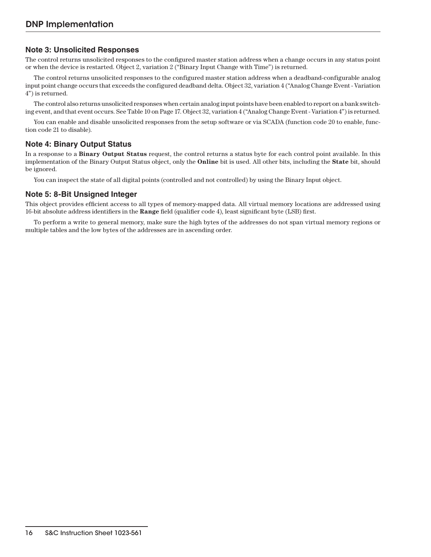## **Note 3: Unsolicited Responses**

The control returns unsolicited responses to the configured master station address when a change occurs in any status point or when the device is restarted. Object 2, variation 2 ("Binary Input Change with Time") is returned.

The control returns unsolicited responses to the configured master station address when a deadband-configurable analog input point change occurs that exceeds the configured deadband delta. Object 32, variation 4 ("Analog Change Event - Variation 4") is returned.

The control also returns unsolicited responses when certain analog input points have been enabled to report on a bank switching event, and that event occurs. See Table 10 on Page 17. Object 32, variation 4 ("Analog Change Event - Variation 4") is returned.

You can enable and disable unsolicited responses from the setup software or via SCADA (function code 20 to enable, function code 21 to disable).

## **Note 4: Binary Output Status**

In a response to a **Binary Output Status** request, the control returns a status byte for each control point available. In this implementation of the Binary Output Status object, only the **Online** bit is used. All other bits, including the **State** bit, should be ignored.

You can inspect the state of all digital points (controlled and not controlled) by using the Binary Input object.

#### **Note 5: 8-Bit Unsigned Integer**

This object provides efficient access to all types of memory-mapped data. All virtual memory locations are addressed using 16-bit absolute address identifiers in the **Range** field (qualifier code 4), least significant byte (LSB) first.

To perform a write to general memory, make sure the high bytes of the addresses do not span virtual memory regions or multiple tables and the low bytes of the addresses are in ascending order.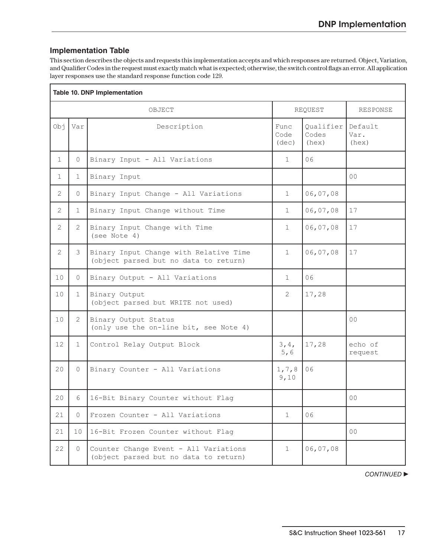## **Implementation Table**

This section describes the objects and requests this implementation accepts and which responses are returned. Object, Variation, and Qualifier Codes in the request must exactly match what is expected; otherwise, the switch control flags an error. All application layer responses use the standard response function code 129.

| Table 10. DNP Implementation |                |                                                                                 |                       |                             |                          |
|------------------------------|----------------|---------------------------------------------------------------------------------|-----------------------|-----------------------------|--------------------------|
|                              |                | OBJECT                                                                          | REQUEST               |                             | <b>RESPONSE</b>          |
| Obj                          | Var            | Description                                                                     | Func<br>Code<br>(dec) | Oualifier<br>Codes<br>(hex) | Default<br>Var.<br>(hex) |
| $\mathbf{1}$                 | $\Omega$       | Binary Input - All Variations                                                   | $\mathbf{1}$          | 06                          |                          |
| 1                            | $\mathbf 1$    | Binary Input                                                                    |                       |                             | 0 <sup>0</sup>           |
| $\mathbf{2}$                 | 0              | Binary Input Change - All Variations                                            | $\mathbf 1$           | 06,07,08                    |                          |
| $\overline{2}$               | 1              | Binary Input Change without Time                                                | $\mathbf 1$           | 06,07,08                    | 17                       |
| $\mathbf{2}$                 | 2              | Binary Input Change with Time<br>(see Note 4)                                   | 1                     | 06,07,08                    | 17                       |
| $\mathbf{2}$                 | 3              | Binary Input Change with Relative Time<br>(object parsed but no data to return) | $\mathbf{1}$          | 06,07,08                    | 17                       |
| 10                           | $\Omega$       | Binary Output - All Variations                                                  | $\mathbf{1}$          | 06                          |                          |
| 10                           | 1              | Binary Output<br>(object parsed but WRITE not used)                             | $\mathbf{2}$          | 17,28                       |                          |
| 10                           | $\overline{2}$ | Binary Output Status<br>(only use the on-line bit, see Note 4)                  |                       |                             | 0 <sub>0</sub>           |
| 12                           | 1              | Control Relay Output Block                                                      | 3,4,<br>5,6           | 17,28                       | echo of<br>request       |
| 20                           | $\Omega$       | Binary Counter - All Variations                                                 | 1, 7, 8<br>9,10       | 06                          |                          |
| 20                           | 6              | 16-Bit Binary Counter without Flag                                              |                       |                             | 0 <sub>0</sub>           |
| 21                           | $\Omega$       | Frozen Counter - All Variations                                                 | $\mathbf 1$           | 06                          |                          |
| 21                           | 10             | 16-Bit Frozen Counter without Flag                                              |                       |                             | 00 <sup>o</sup>          |
| 22                           | 0              | Counter Change Event - All Variations<br>(object parsed but no data to return)  | $\mathbf 1$           | 06,07,08                    |                          |

**CONTINUED**